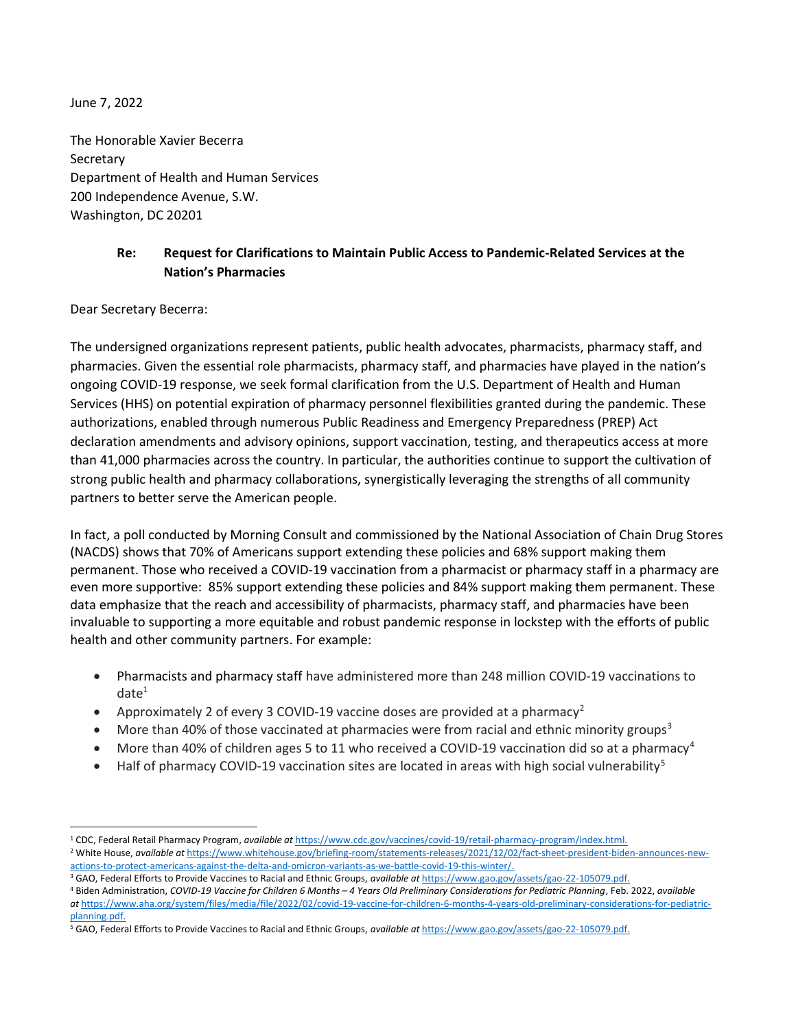June 7, 2022

The Honorable Xavier Becerra **Secretary** Department of Health and Human Services 200 Independence Avenue, S.W. Washington, DC 20201

## Re: Request for Clarifications to Maintain Public Access to Pandemic-Related Services at the Nation's Pharmacies

Dear Secretary Becerra:

The undersigned organizations represent patients, public health advocates, pharmacists, pharmacy staff, and pharmacies. Given the essential role pharmacists, pharmacy staff, and pharmacies have played in the nation's ongoing COVID-19 response, we seek formal clarification from the U.S. Department of Health and Human Services (HHS) on potential expiration of pharmacy personnel flexibilities granted during the pandemic. These authorizations, enabled through numerous Public Readiness and Emergency Preparedness (PREP) Act declaration amendments and advisory opinions, support vaccination, testing, and therapeutics access at more than 41,000 pharmacies across the country. In particular, the authorities continue to support the cultivation of strong public health and pharmacy collaborations, synergistically leveraging the strengths of all community partners to better serve the American people.

In fact, a poll conducted by Morning Consult and commissioned by the National Association of Chain Drug Stores (NACDS) shows that 70% of Americans support extending these policies and 68% support making them permanent. Those who received a COVID-19 vaccination from a pharmacist or pharmacy staff in a pharmacy are even more supportive: 85% support extending these policies and 84% support making them permanent. These data emphasize that the reach and accessibility of pharmacists, pharmacy staff, and pharmacies have been invaluable to supporting a more equitable and robust pandemic response in lockstep with the efforts of public health and other community partners. For example:

- Pharmacists and pharmacy staff have administered more than 248 million COVID-19 vaccinations to  $date<sup>1</sup>$
- Approximately 2 of every 3 COVID-19 vaccine doses are provided at a pharmacy<sup>2</sup>
- $\bullet$  More than 40% of those vaccinated at pharmacies were from racial and ethnic minority groups<sup>3</sup>
- $\bullet$  More than 40% of children ages 5 to 11 who received a COVID-19 vaccination did so at a pharmacy<sup>4</sup>
- Half of pharmacy COVID-19 vaccination sites are located in areas with high social vulnerability<sup>5</sup>

4 Biden Administration, COVID-19 Vaccine for Children 6 Months – 4 Years Old Preliminary Considerations for Pediatric Planning, Feb. 2022, available at https://www.aha.org/system/files/media/file/2022/02/covid-19-vaccine-for-children-6-months-4-years-old-preliminary-considerations-for-pediatricplanning.pdf.

<sup>&</sup>lt;sup>1</sup> CDC, Federal Retail Pharmacy Program, available at https://www.cdc.gov/vaccines/covid-19/retail-pharmacy-program/index.html. <sup>2</sup> White House, available at https://www.whitehouse.gov/briefing-room/statements-releases/2021/12/02/fact-sheet-president-biden-announces-newactions-to-protect-americans-against-the-delta-and-omicron-variants-as-we-battle-covid-19-this-winter/.

<sup>&</sup>lt;sup>3</sup> GAO, Federal Efforts to Provide Vaccines to Racial and Ethnic Groups, available at https://www.gao.gov/assets/gao-22-105079.pdf.

<sup>&</sup>lt;sup>5</sup> GAO, Federal Efforts to Provide Vaccines to Racial and Ethnic Groups, available at https://www.gao.gov/assets/gao-22-105079.pdf.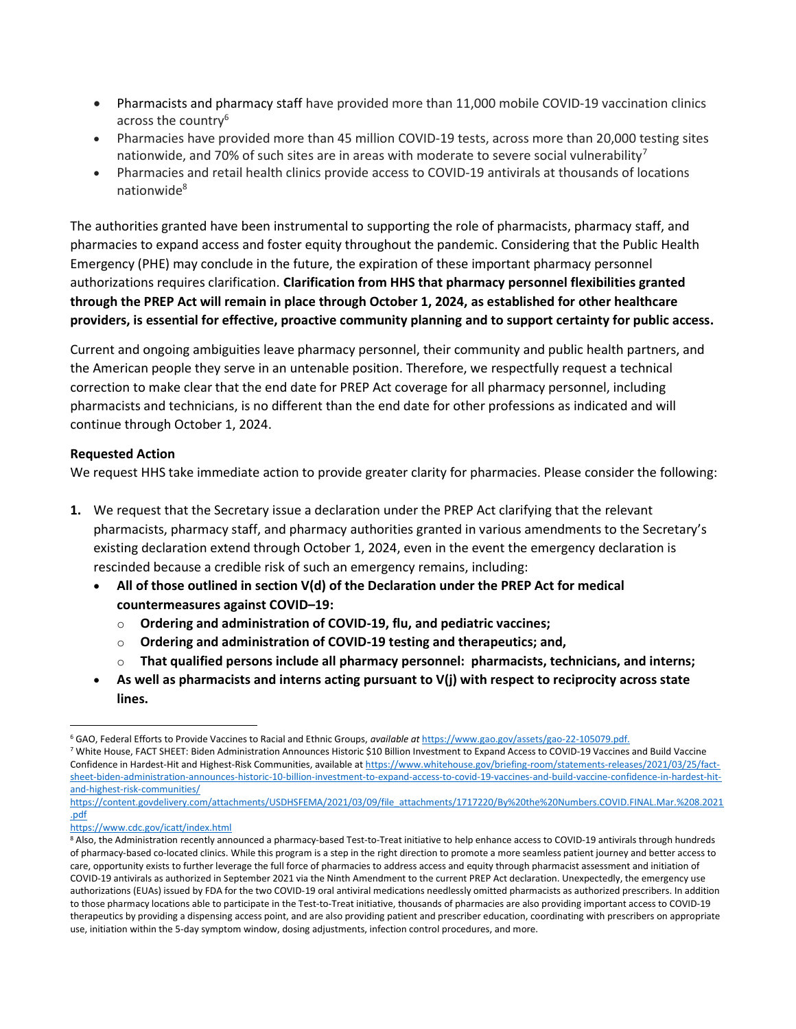- Pharmacists and pharmacy staff have provided more than 11,000 mobile COVID-19 vaccination clinics across the country<sup>6</sup>
- Pharmacies have provided more than 45 million COVID-19 tests, across more than 20,000 testing sites nationwide, and 70% of such sites are in areas with moderate to severe social vulnerability<sup>7</sup>
- Pharmacies and retail health clinics provide access to COVID-19 antivirals at thousands of locations nationwide<sup>8</sup>

The authorities granted have been instrumental to supporting the role of pharmacists, pharmacy staff, and pharmacies to expand access and foster equity throughout the pandemic. Considering that the Public Health Emergency (PHE) may conclude in the future, the expiration of these important pharmacy personnel authorizations requires clarification. Clarification from HHS that pharmacy personnel flexibilities granted through the PREP Act will remain in place through October 1, 2024, as established for other healthcare providers, is essential for effective, proactive community planning and to support certainty for public access.

Current and ongoing ambiguities leave pharmacy personnel, their community and public health partners, and the American people they serve in an untenable position. Therefore, we respectfully request a technical correction to make clear that the end date for PREP Act coverage for all pharmacy personnel, including pharmacists and technicians, is no different than the end date for other professions as indicated and will continue through October 1, 2024.

## Requested Action

We request HHS take immediate action to provide greater clarity for pharmacies. Please consider the following:

- 1. We request that the Secretary issue a declaration under the PREP Act clarifying that the relevant pharmacists, pharmacy staff, and pharmacy authorities granted in various amendments to the Secretary's existing declaration extend through October 1, 2024, even in the event the emergency declaration is rescinded because a credible risk of such an emergency remains, including:
	- All of those outlined in section  $V(d)$  of the Declaration under the PREP Act for medical countermeasures against COVID–19:
		- $\circ$  Ordering and administration of COVID-19, flu, and pediatric vaccines;
		- o Ordering and administration of COVID-19 testing and therapeutics; and,
		- That qualified persons include all pharmacy personnel: pharmacists, technicians, and interns;
	- As well as pharmacists and interns acting pursuant to  $V(j)$  with respect to reciprocity across state lines.

<sup>&</sup>lt;sup>6</sup> GAO, Federal Efforts to Provide Vaccines to Racial and Ethnic Groups, available at https://www.gao.gov/assets/gao-22-105079.pdf.

<sup>7</sup> White House, FACT SHEET: Biden Administration Announces Historic \$10 Billion Investment to Expand Access to COVID-19 Vaccines and Build Vaccine Confidence in Hardest-Hit and Highest-Risk Communities, available at https://www.whitehouse.gov/briefing-room/statements-releases/2021/03/25/factsheet-biden-administration-announces-historic-10-billion-investment-to-expand-access-to-covid-19-vaccines-and-build-vaccine-confidence-in-hardest-hitand-highest-risk-communities/

https://content.govdelivery.com/attachments/USDHSFEMA/2021/03/09/file\_attachments/1717220/By%20the%20Numbers.COVID.FINAL.Mar.%208.2021 .pdf

https://www.cdc.gov/icatt/index.html

<sup>&</sup>lt;sup>8</sup> Also, the Administration recently announced a pharmacy-based Test-to-Treat initiative to help enhance access to COVID-19 antivirals through hundreds of pharmacy-based co-located clinics. While this program is a step in the right direction to promote a more seamless patient journey and better access to care, opportunity exists to further leverage the full force of pharmacies to address access and equity through pharmacist assessment and initiation of COVID-19 antivirals as authorized in September 2021 via the Ninth Amendment to the current PREP Act declaration. Unexpectedly, the emergency use authorizations (EUAs) issued by FDA for the two COVID-19 oral antiviral medications needlessly omitted pharmacists as authorized prescribers. In addition to those pharmacy locations able to participate in the Test-to-Treat initiative, thousands of pharmacies are also providing important access to COVID-19 therapeutics by providing a dispensing access point, and are also providing patient and prescriber education, coordinating with prescribers on appropriate use, initiation within the 5-day symptom window, dosing adjustments, infection control procedures, and more.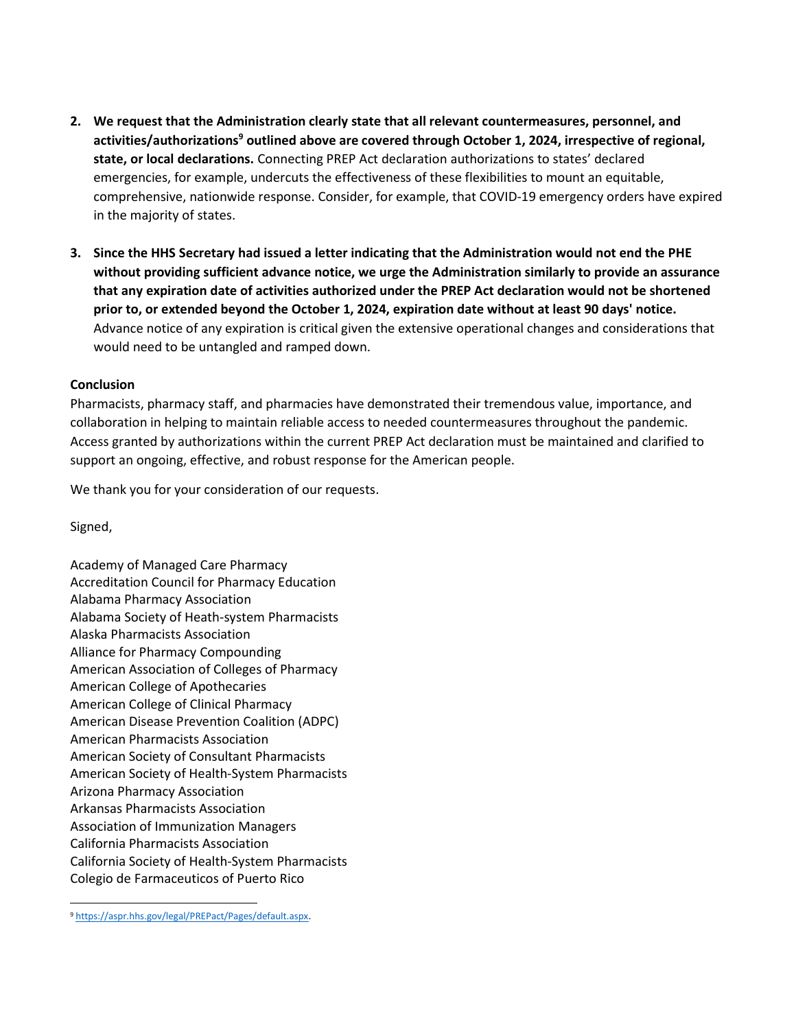- 2. We request that the Administration clearly state that all relevant countermeasures, personnel, and activities/authorizations<sup>9</sup> outlined above are covered through October 1, 2024, irrespective of regional, state, or local declarations. Connecting PREP Act declaration authorizations to states' declared emergencies, for example, undercuts the effectiveness of these flexibilities to mount an equitable, comprehensive, nationwide response. Consider, for example, that COVID-19 emergency orders have expired in the majority of states.
- 3. Since the HHS Secretary had issued a letter indicating that the Administration would not end the PHE without providing sufficient advance notice, we urge the Administration similarly to provide an assurance that any expiration date of activities authorized under the PREP Act declaration would not be shortened prior to, or extended beyond the October 1, 2024, expiration date without at least 90 days' notice. Advance notice of any expiration is critical given the extensive operational changes and considerations that would need to be untangled and ramped down.

## Conclusion

Pharmacists, pharmacy staff, and pharmacies have demonstrated their tremendous value, importance, and collaboration in helping to maintain reliable access to needed countermeasures throughout the pandemic. Access granted by authorizations within the current PREP Act declaration must be maintained and clarified to support an ongoing, effective, and robust response for the American people.

We thank you for your consideration of our requests.

Signed,

Academy of Managed Care Pharmacy Accreditation Council for Pharmacy Education Alabama Pharmacy Association Alabama Society of Heath-system Pharmacists Alaska Pharmacists Association Alliance for Pharmacy Compounding American Association of Colleges of Pharmacy American College of Apothecaries American College of Clinical Pharmacy American Disease Prevention Coalition (ADPC) American Pharmacists Association American Society of Consultant Pharmacists American Society of Health-System Pharmacists Arizona Pharmacy Association Arkansas Pharmacists Association Association of Immunization Managers California Pharmacists Association California Society of Health-System Pharmacists Colegio de Farmaceuticos of Puerto Rico

<sup>9</sup> https://aspr.hhs.gov/legal/PREPact/Pages/default.aspx.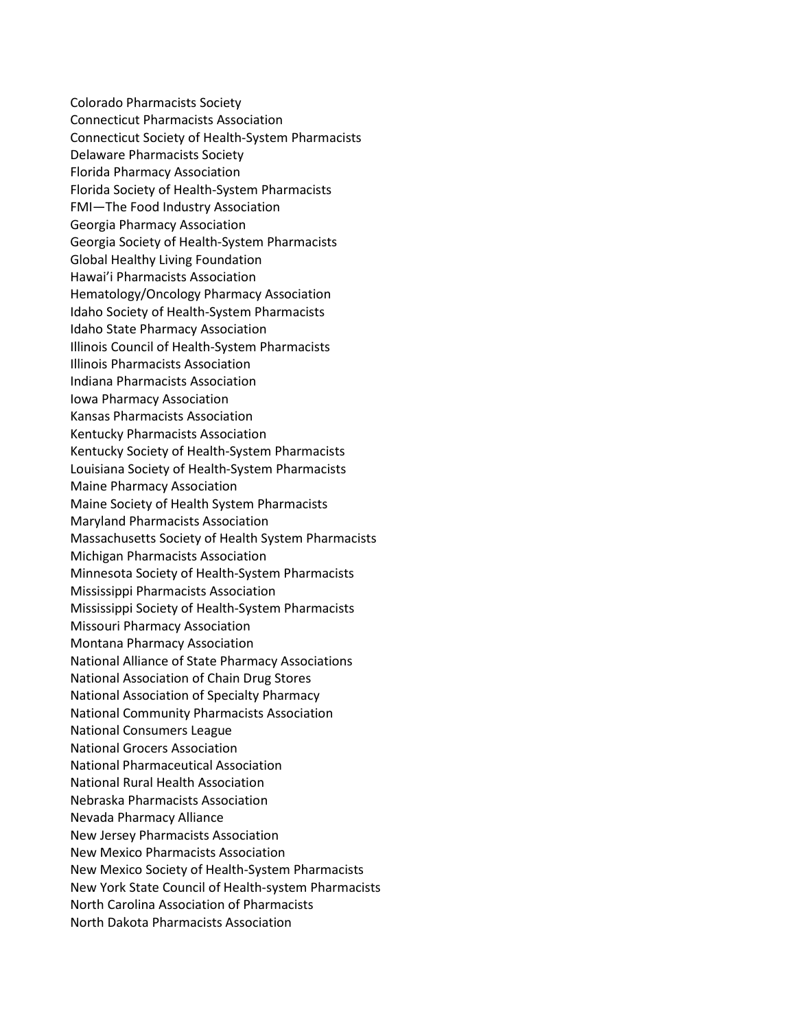Colorado Pharmacists Society Connecticut Pharmacists Association Connecticut Society of Health-System Pharmacists Delaware Pharmacists Society Florida Pharmacy Association Florida Society of Health-System Pharmacists FMI—The Food Industry Association Georgia Pharmacy Association Georgia Society of Health-System Pharmacists Global Healthy Living Foundation Hawai'i Pharmacists Association Hematology/Oncology Pharmacy Association Idaho Society of Health-System Pharmacists Idaho State Pharmacy Association Illinois Council of Health-System Pharmacists Illinois Pharmacists Association Indiana Pharmacists Association Iowa Pharmacy Association Kansas Pharmacists Association Kentucky Pharmacists Association Kentucky Society of Health-System Pharmacists Louisiana Society of Health-System Pharmacists Maine Pharmacy Association Maine Society of Health System Pharmacists Maryland Pharmacists Association Massachusetts Society of Health System Pharmacists Michigan Pharmacists Association Minnesota Society of Health-System Pharmacists Mississippi Pharmacists Association Mississippi Society of Health-System Pharmacists Missouri Pharmacy Association Montana Pharmacy Association National Alliance of State Pharmacy Associations National Association of Chain Drug Stores National Association of Specialty Pharmacy National Community Pharmacists Association National Consumers League National Grocers Association National Pharmaceutical Association National Rural Health Association Nebraska Pharmacists Association Nevada Pharmacy Alliance New Jersey Pharmacists Association New Mexico Pharmacists Association New Mexico Society of Health-System Pharmacists New York State Council of Health-system Pharmacists North Carolina Association of Pharmacists North Dakota Pharmacists Association